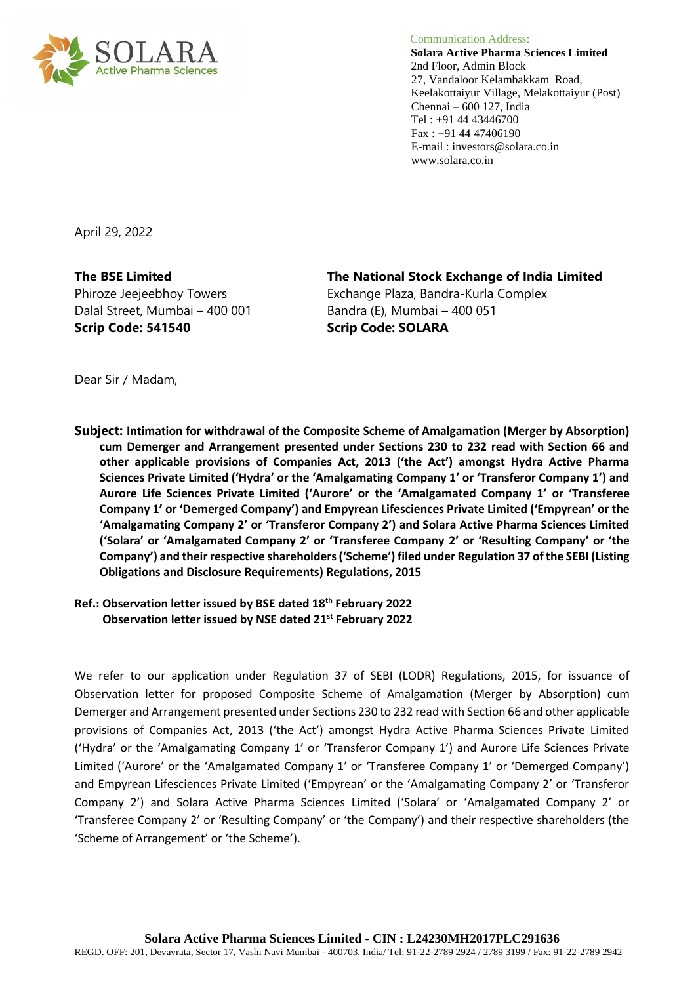

Communication Address:

 **Solara Active Pharma Sciences Limited** 2nd Floor, Admin Block 27, Vandaloor Kelambakkam Road, Keelakottaiyur Village, Melakottaiyur (Post) Chennai – 600 127, India Tel : +91 44 43446700 Fax : +91 44 47406190 E-mail : investors@solara.co.in www.solara.co.in

April 29, 2022

Dalal Street, Mumbai – 400 001 Bandra (E), Mumbai – 400 051 **Scrip Code: 541540 Scrip Code: SOLARA**

**The BSE Limited The National Stock Exchange of India Limited** Phiroze Jeejeebhoy Towers Exchange Plaza, Bandra-Kurla Complex

Dear Sir / Madam,

**Subject: Intimation for withdrawal of the Composite Scheme of Amalgamation (Merger by Absorption) cum Demerger and Arrangement presented under Sections 230 to 232 read with Section 66 and other applicable provisions of Companies Act, 2013 ('the Act') amongst Hydra Active Pharma Sciences Private Limited ('Hydra' or the 'Amalgamating Company 1' or 'Transferor Company 1') and Aurore Life Sciences Private Limited ('Aurore' or the 'Amalgamated Company 1' or 'Transferee Company 1' or 'Demerged Company') and Empyrean Lifesciences Private Limited ('Empyrean' or the 'Amalgamating Company 2' or 'Transferor Company 2') and Solara Active Pharma Sciences Limited ('Solara' or 'Amalgamated Company 2' or 'Transferee Company 2' or 'Resulting Company' or 'the Company') and their respective shareholders ('Scheme') filed under Regulation 37 of the SEBI (Listing Obligations and Disclosure Requirements) Regulations, 2015**

**Ref.: Observation letter issued by BSE dated 18th February 2022 Observation letter issued by NSE dated 21st February 2022**

We refer to our application under Regulation 37 of SEBI (LODR) Regulations, 2015, for issuance of Observation letter for proposed Composite Scheme of Amalgamation (Merger by Absorption) cum Demerger and Arrangement presented under Sections 230 to 232 read with Section 66 and other applicable provisions of Companies Act, 2013 ('the Act') amongst Hydra Active Pharma Sciences Private Limited ('Hydra' or the 'Amalgamating Company 1' or 'Transferor Company 1') and Aurore Life Sciences Private Limited ('Aurore' or the 'Amalgamated Company 1' or 'Transferee Company 1' or 'Demerged Company') and Empyrean Lifesciences Private Limited ('Empyrean' or the 'Amalgamating Company 2' or 'Transferor Company 2') and Solara Active Pharma Sciences Limited ('Solara' or 'Amalgamated Company 2' or 'Transferee Company 2' or 'Resulting Company' or 'the Company') and their respective shareholders (the 'Scheme of Arrangement' or 'the Scheme').